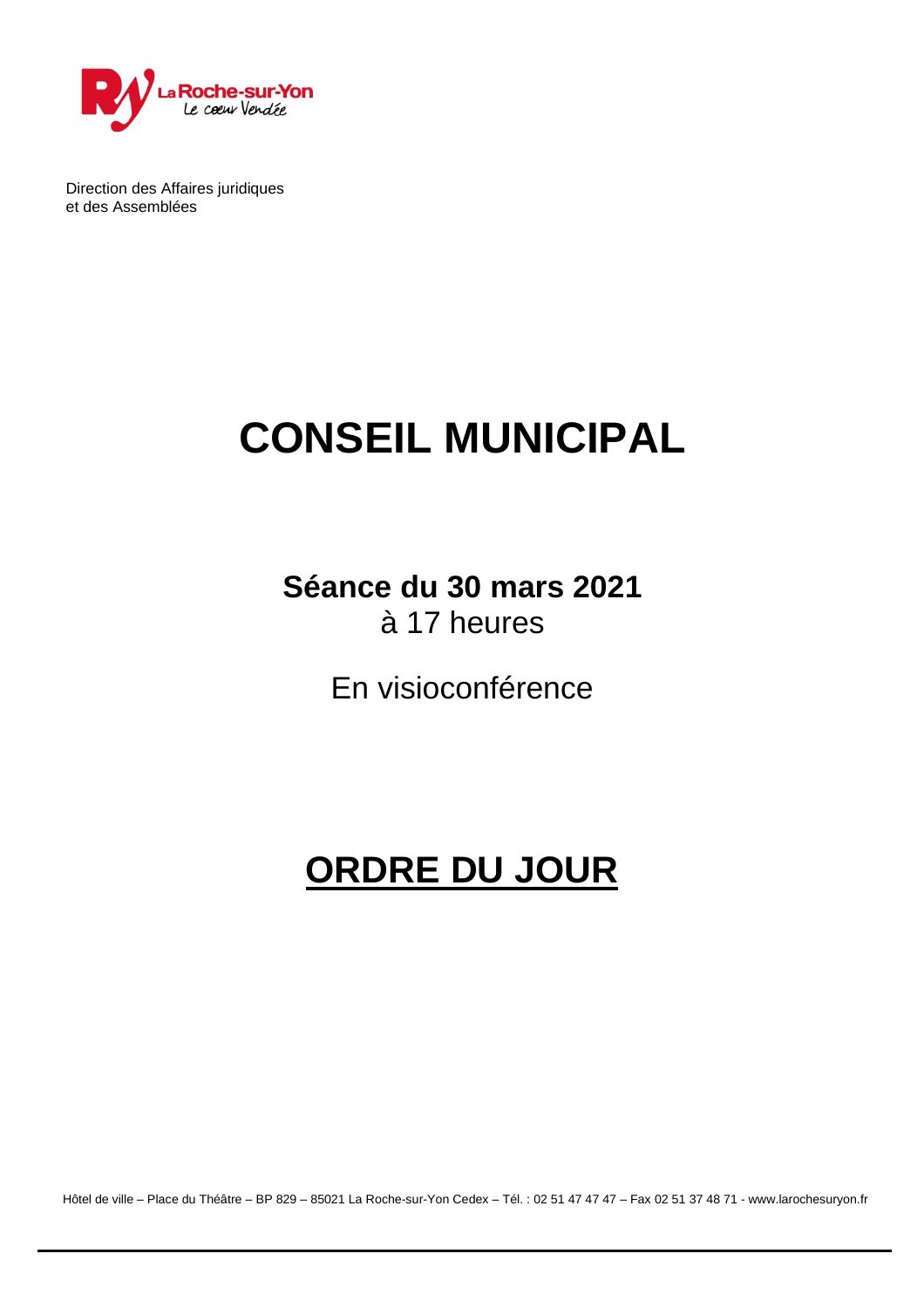

Direction des Affaires juridiques et des Assemblées

# **CONSEIL MUNICIPAL**

### **Séance du 30 mars 2021** à 17 heures

En visioconférence

## **ORDRE DU JOUR**

Hôtel de ville – Place du Théâtre – BP 829 – 85021 La Roche-sur-Yon Cedex – Tél. : 02 51 47 47 47 – Fax 02 51 37 48 71 - [www.larochesuryon.fr](http://www.larochesuryon.fr/)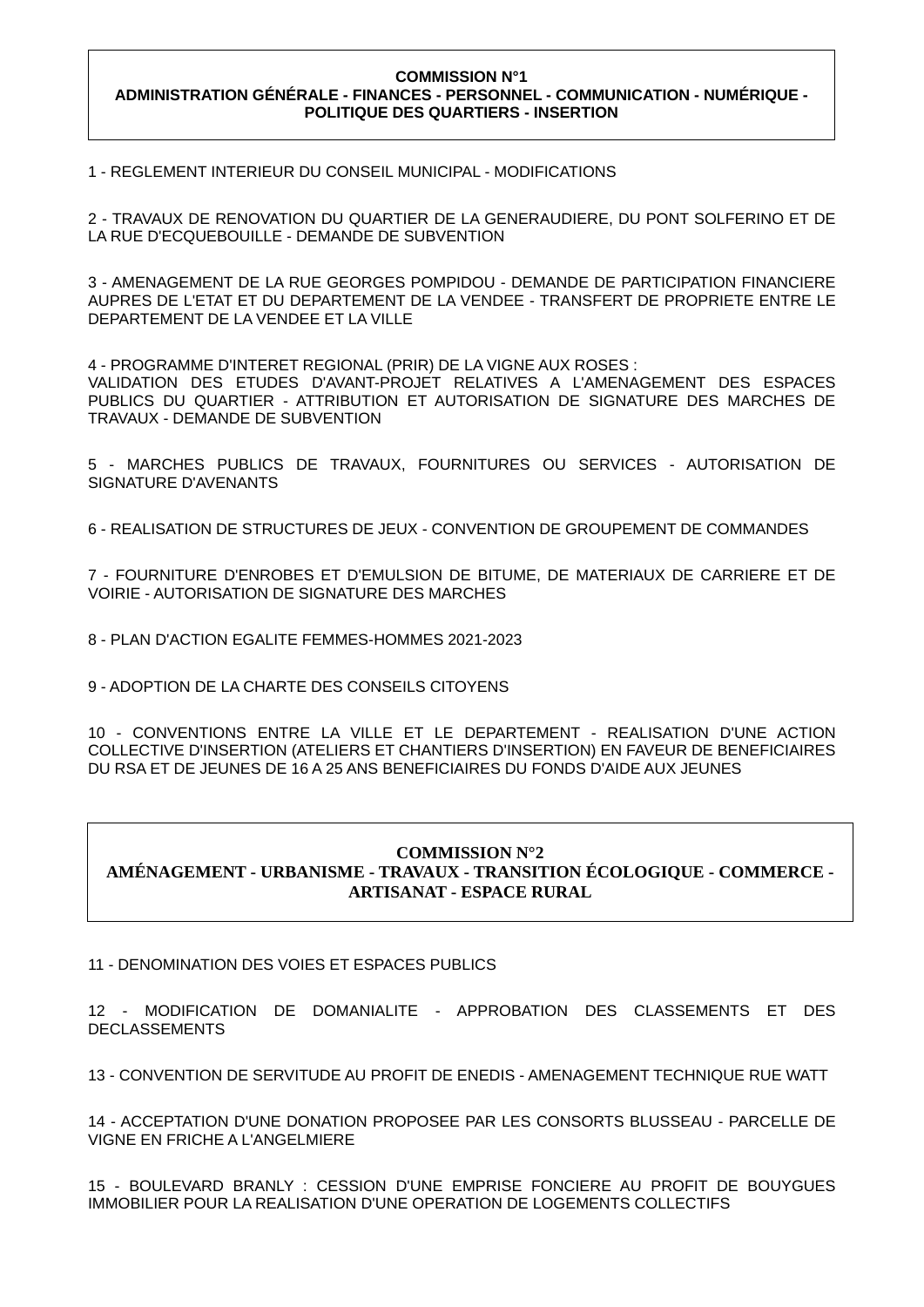#### **COMMISSION N°1 ADMINISTRATION GÉNÉRALE - FINANCES - PERSONNEL - COMMUNICATION - NUMÉRIQUE - POLITIQUE DES QUARTIERS - INSERTION**

1 - REGLEMENT INTERIEUR DU CONSEIL MUNICIPAL - MODIFICATIONS

2 - TRAVAUX DE RENOVATION DU QUARTIER DE LA GENERAUDIERE, DU PONT SOLFERINO ET DE LA RUE D'ECQUEBOUILLE - DEMANDE DE SUBVENTION

3 - AMENAGEMENT DE LA RUE GEORGES POMPIDOU - DEMANDE DE PARTICIPATION FINANCIERE AUPRES DE L'ETAT ET DU DEPARTEMENT DE LA VENDEE - TRANSFERT DE PROPRIETE ENTRE LE DEPARTEMENT DE LA VENDEE ET LA VILLE

4 - PROGRAMME D'INTERET REGIONAL (PRIR) DE LA VIGNE AUX ROSES : VALIDATION DES ETUDES D'AVANT-PROJET RELATIVES A L'AMENAGEMENT DES ESPACES PUBLICS DU QUARTIER - ATTRIBUTION ET AUTORISATION DE SIGNATURE DES MARCHES DE TRAVAUX - DEMANDE DE SUBVENTION

5 - MARCHES PUBLICS DE TRAVAUX, FOURNITURES OU SERVICES - AUTORISATION DE SIGNATURE D'AVENANTS

6 - REALISATION DE STRUCTURES DE JEUX - CONVENTION DE GROUPEMENT DE COMMANDES

7 - FOURNITURE D'ENROBES ET D'EMULSION DE BITUME, DE MATERIAUX DE CARRIERE ET DE VOIRIE - AUTORISATION DE SIGNATURE DES MARCHES

8 - PLAN D'ACTION EGALITE FEMMES-HOMMES 2021-2023

9 - ADOPTION DE LA CHARTE DES CONSEILS CITOYENS

10 - CONVENTIONS ENTRE LA VILLE ET LE DEPARTEMENT - REALISATION D'UNE ACTION COLLECTIVE D'INSERTION (ATELIERS ET CHANTIERS D'INSERTION) EN FAVEUR DE BENEFICIAIRES DU RSA ET DE JEUNES DE 16 A 25 ANS BENEFICIAIRES DU FONDS D'AIDE AUX JEUNES

#### **COMMISSION N°2 AMÉNAGEMENT - URBANISME - TRAVAUX - TRANSITION ÉCOLOGIQUE - COMMERCE - ARTISANAT - ESPACE RURAL**

11 - DENOMINATION DES VOIES ET ESPACES PUBLICS

12 - MODIFICATION DE DOMANIALITE - APPROBATION DES CLASSEMENTS ET DES DECLASSEMENTS

13 - CONVENTION DE SERVITUDE AU PROFIT DE ENEDIS - AMENAGEMENT TECHNIQUE RUE WATT

14 - ACCEPTATION D'UNE DONATION PROPOSEE PAR LES CONSORTS BLUSSEAU - PARCELLE DE VIGNE EN FRICHE A L'ANGELMIERE

15 - BOULEVARD BRANLY : CESSION D'UNE EMPRISE FONCIERE AU PROFIT DE BOUYGUES IMMOBILIER POUR LA REALISATION D'UNE OPERATION DE LOGEMENTS COLLECTIFS